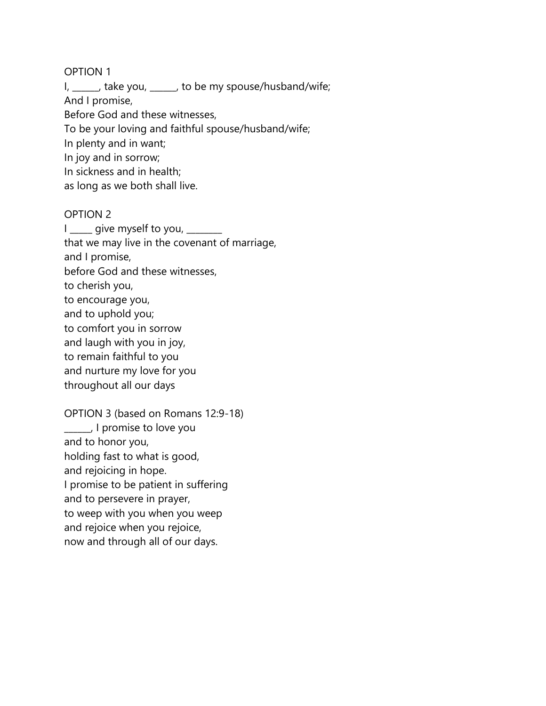I, \_\_\_\_\_, take you, \_\_\_\_\_, to be my spouse/husband/wife;

And I promise,

Before God and these witnesses,

To be your loving and faithful spouse/husband/wife;

In plenty and in want;

In joy and in sorrow;

In sickness and in health;

as long as we both shall live.

# OPTION 2

 $I_{\text{max}}$  give myself to you,  $\frac{1}{I}$ that we may live in the covenant of marriage, and I promise, before God and these witnesses, to cherish you, to encourage you, and to uphold you; to comfort you in sorrow and laugh with you in joy, to remain faithful to you and nurture my love for you throughout all our days

OPTION 3 (based on Romans 12:9-18) \_\_\_\_\_\_, I promise to love you and to honor you, holding fast to what is good, and rejoicing in hope. I promise to be patient in suffering and to persevere in prayer, to weep with you when you weep and rejoice when you rejoice, now and through all of our days.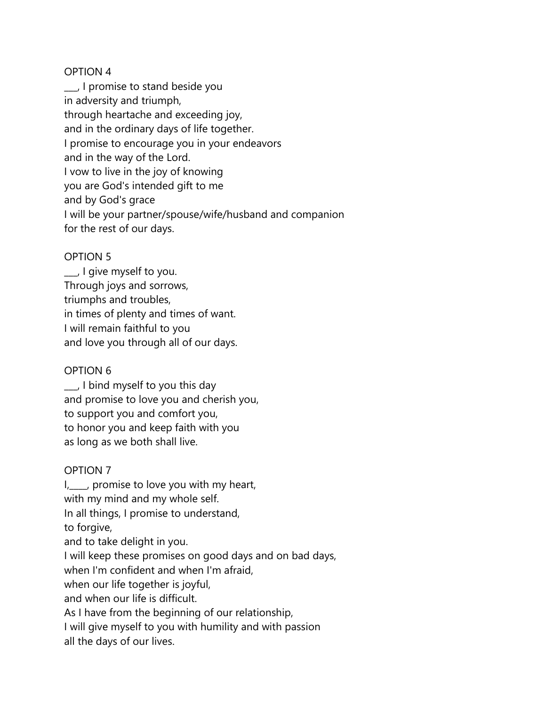\_\_\_, I promise to stand beside you in adversity and triumph, through heartache and exceeding joy, and in the ordinary days of life together. I promise to encourage you in your endeavors and in the way of the Lord. I vow to live in the joy of knowing you are God's intended gift to me and by God's grace I will be your partner/spouse/wife/husband and companion for the rest of our days.

# OPTION 5

\_\_\_, I give myself to you. Through joys and sorrows, triumphs and troubles, in times of plenty and times of want. I will remain faithful to you and love you through all of our days.

# OPTION 6

\_\_\_, I bind myself to you this day and promise to love you and cherish you, to support you and comfort you, to honor you and keep faith with you as long as we both shall live.

# OPTION 7

I<sub>1</sub>, promise to love you with my heart, with my mind and my whole self. In all things, I promise to understand, to forgive, and to take delight in you. I will keep these promises on good days and on bad days, when I'm confident and when I'm afraid, when our life together is joyful, and when our life is difficult. As I have from the beginning of our relationship, I will give myself to you with humility and with passion all the days of our lives.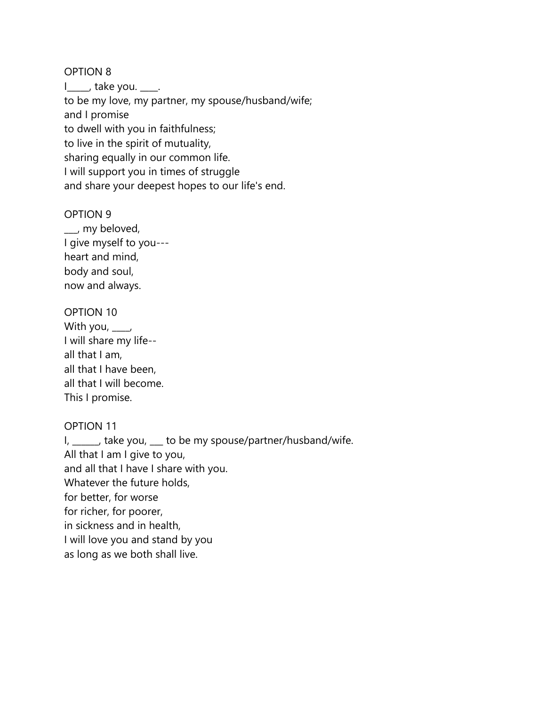|\_\_\_\_, take you. \_\_\_\_. to be my love, my partner, my spouse/husband/wife; and I promise to dwell with you in faithfulness; to live in the spirit of mutuality, sharing equally in our common life. I will support you in times of struggle and share your deepest hopes to our life's end.

#### OPTION 9

\_\_\_, my beloved, I give myself to you-- heart and mind, body and soul, now and always.

### OPTION 10

| With you, $\_\_\_\prime$ |
|--------------------------|
| I will share my life--   |
| all that I am,           |
| all that I have been,    |
| all that I will become.  |
| This I promise.          |

#### OPTION 11

I, \_\_\_\_\_, take you, \_\_\_ to be my spouse/partner/husband/wife. All that I am I give to you, and all that I have I share with you. Whatever the future holds, for better, for worse for richer, for poorer, in sickness and in health, I will love you and stand by you as long as we both shall live.